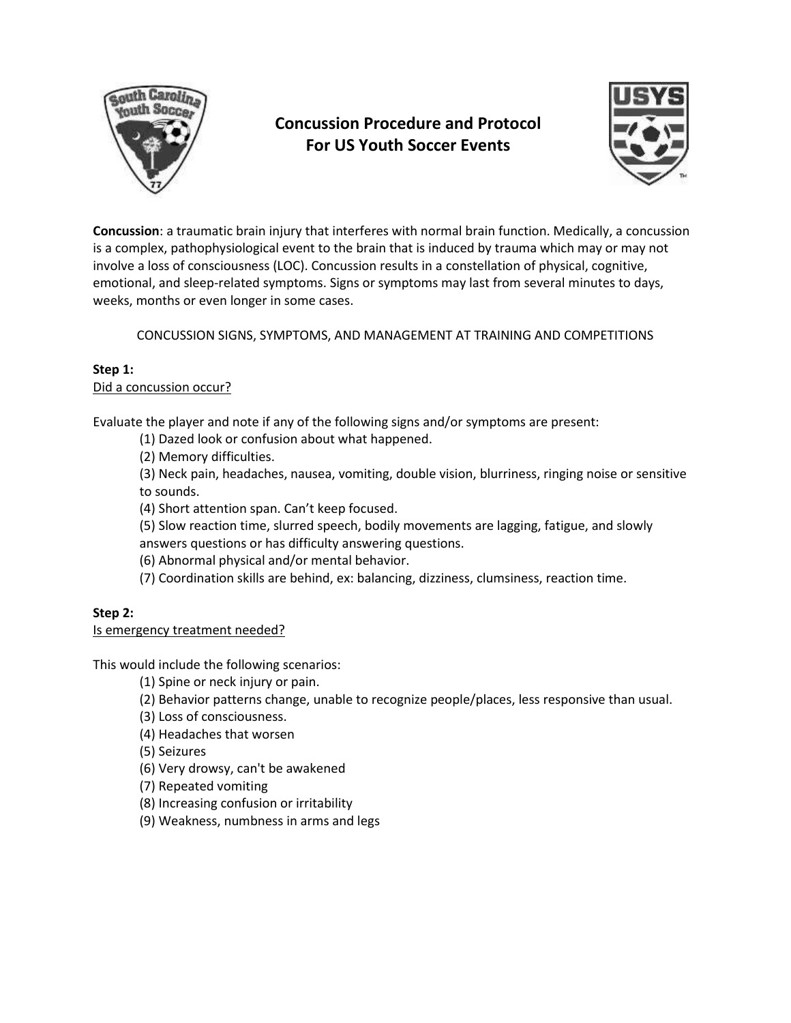

# **Concussion Procedure and Protocol For US Youth Soccer Events**



**Concussion**: a traumatic brain injury that interferes with normal brain function. Medically, a concussion is a complex, pathophysiological event to the brain that is induced by trauma which may or may not involve a loss of consciousness (LOC). Concussion results in a constellation of physical, cognitive, emotional, and sleep-related symptoms. Signs or symptoms may last from several minutes to days, weeks, months or even longer in some cases.

CONCUSSION SIGNS, SYMPTOMS, AND MANAGEMENT AT TRAINING AND COMPETITIONS

## **Step 1:**

Did a concussion occur?

Evaluate the player and note if any of the following signs and/or symptoms are present:

(1) Dazed look or confusion about what happened.

(2) Memory difficulties.

(3) Neck pain, headaches, nausea, vomiting, double vision, blurriness, ringing noise or sensitive to sounds.

(4) Short attention span. Can't keep focused.

(5) Slow reaction time, slurred speech, bodily movements are lagging, fatigue, and slowly answers questions or has difficulty answering questions.

(6) Abnormal physical and/or mental behavior.

(7) Coordination skills are behind, ex: balancing, dizziness, clumsiness, reaction time.

## **Step 2:**

#### Is emergency treatment needed?

This would include the following scenarios:

(1) Spine or neck injury or pain.

(2) Behavior patterns change, unable to recognize people/places, less responsive than usual.

(3) Loss of consciousness.

(4) Headaches that worsen

(5) Seizures

(6) Very drowsy, can't be awakened

(7) Repeated vomiting

(8) Increasing confusion or irritability

(9) Weakness, numbness in arms and legs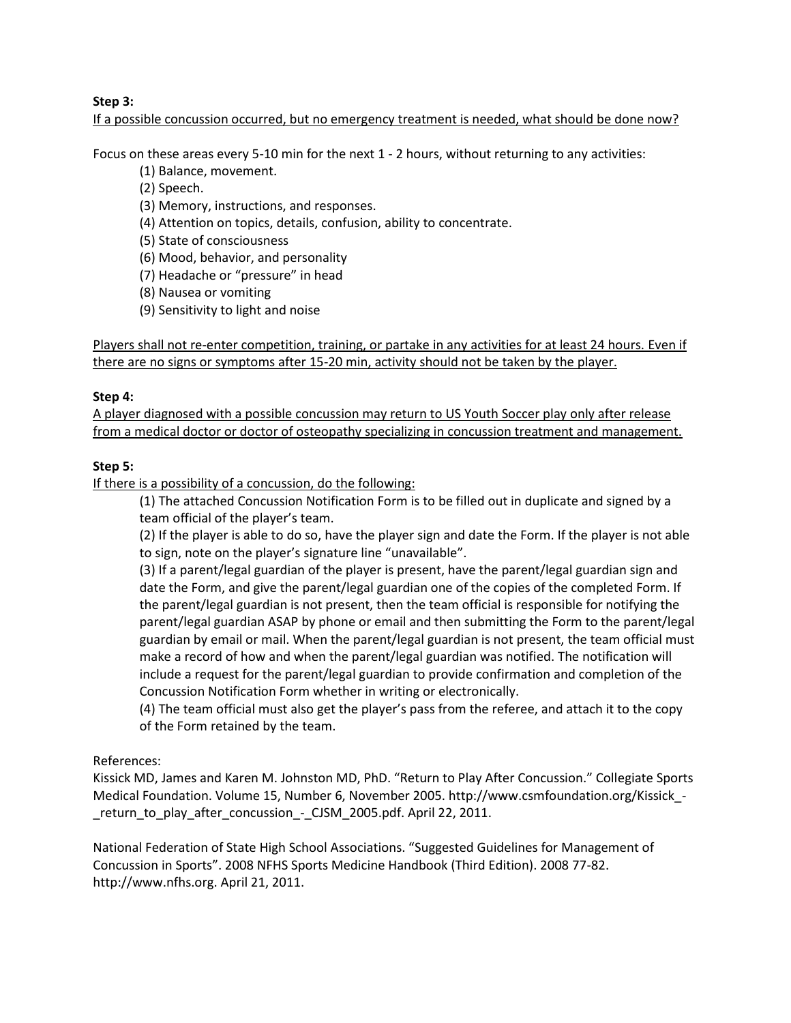## **Step 3:**

If a possible concussion occurred, but no emergency treatment is needed, what should be done now?

Focus on these areas every 5-10 min for the next 1 - 2 hours, without returning to any activities:

(1) Balance, movement.

(2) Speech.

- (3) Memory, instructions, and responses.
- (4) Attention on topics, details, confusion, ability to concentrate.

(5) State of consciousness

(6) Mood, behavior, and personality

(7) Headache or "pressure" in head

(8) Nausea or vomiting

(9) Sensitivity to light and noise

Players shall not re-enter competition, training, or partake in any activities for at least 24 hours. Even if there are no signs or symptoms after 15-20 min, activity should not be taken by the player.

## **Step 4:**

A player diagnosed with a possible concussion may return to US Youth Soccer play only after release from a medical doctor or doctor of osteopathy specializing in concussion treatment and management.

## **Step 5:**

If there is a possibility of a concussion, do the following:

(1) The attached Concussion Notification Form is to be filled out in duplicate and signed by a team official of the player's team.

(2) If the player is able to do so, have the player sign and date the Form. If the player is not able to sign, note on the player's signature line "unavailable".

(3) If a parent/legal guardian of the player is present, have the parent/legal guardian sign and date the Form, and give the parent/legal guardian one of the copies of the completed Form. If the parent/legal guardian is not present, then the team official is responsible for notifying the parent/legal guardian ASAP by phone or email and then submitting the Form to the parent/legal guardian by email or mail. When the parent/legal guardian is not present, the team official must make a record of how and when the parent/legal guardian was notified. The notification will include a request for the parent/legal guardian to provide confirmation and completion of the Concussion Notification Form whether in writing or electronically.

(4) The team official must also get the player's pass from the referee, and attach it to the copy of the Form retained by the team.

References:

Kissick MD, James and Karen M. Johnston MD, PhD. "Return to Play After Concussion." Collegiate Sports Medical Foundation. Volume 15, Number 6, November 2005. http://www.csmfoundation.org/Kissick\_- \_return\_to\_play\_after\_concussion\_-\_CJSM\_2005.pdf. April 22, 2011.

National Federation of State High School Associations. "Suggested Guidelines for Management of Concussion in Sports". 2008 NFHS Sports Medicine Handbook (Third Edition). 2008 77-82. http://www.nfhs.org. April 21, 2011.